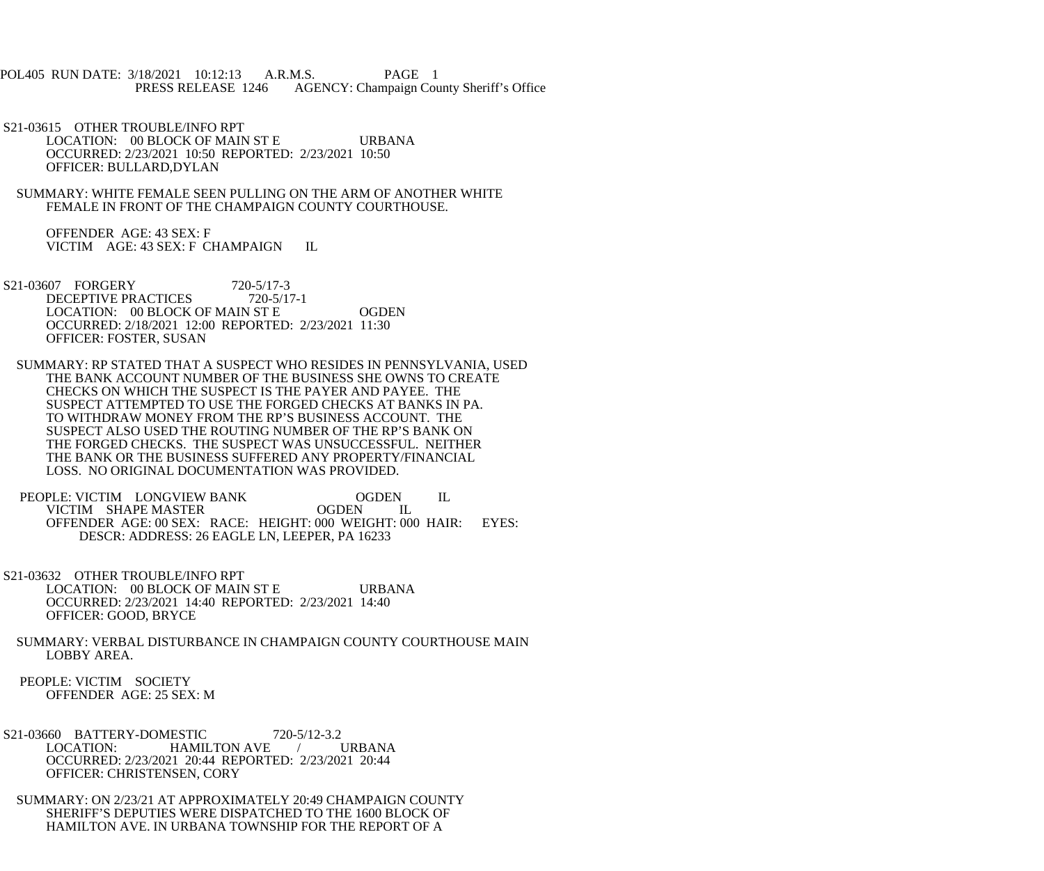POL405 RUN DATE: 3/18/2021 10:12:13 A.R.M.S. PAGE 1<br>PRESS RELEASE 1246 AGENCY: Champaign Cou AGENCY: Champaign County Sheriff's Office

 S21-03615 OTHER TROUBLE/INFO RPT LOCATION: 00 BLOCK OF MAIN ST E URBANA OCCURRED: 2/23/2021 10:50 REPORTED: 2/23/2021 10:50 OFFICER: BULLARD,DYLAN

 SUMMARY: WHITE FEMALE SEEN PULLING ON THE ARM OF ANOTHER WHITE FEMALE IN FRONT OF THE CHAMPAIGN COUNTY COURTHOUSE.

 OFFENDER AGE: 43 SEX: F VICTIM AGE: 43 SEX: F CHAMPAIGN IL

- S21-03607 FORGERY 720-5/17-3<br>DECEPTIVE PRACTICES 720-5/17-1 DECEPTIVE PRACTICES LOCATION: 00 BLOCK OF MAIN ST E OGDEN OCCURRED: 2/18/2021 12:00 REPORTED: 2/23/2021 11:30 OFFICER: FOSTER, SUSAN
- SUMMARY: RP STATED THAT A SUSPECT WHO RESIDES IN PENNSYLVANIA, USED THE BANK ACCOUNT NUMBER OF THE BUSINESS SHE OWNS TO CREATE CHECKS ON WHICH THE SUSPECT IS THE PAYER AND PAYEE. THE SUSPECT ATTEMPTED TO USE THE FORGED CHECKS AT BANKS IN PA. TO WITHDRAW MONEY FROM THE RP'S BUSINESS ACCOUNT. THE SUSPECT ALSO USED THE ROUTING NUMBER OF THE RP'S BANK ON THE FORGED CHECKS. THE SUSPECT WAS UNSUCCESSFUL. NEITHER THE BANK OR THE BUSINESS SUFFERED ANY PROPERTY/FINANCIAL LOSS. NO ORIGINAL DOCUMENTATION WAS PROVIDED.
- PEOPLE: VICTIM LONGVIEW BANK OGDEN IL VICTIM SHAPE MASTER OGDEN IL VICTIM SHAPE MASTER OFFENDER AGE: 00 SEX: RACE: HEIGHT: 000 WEIGHT: 000 HAIR: EYES: DESCR: ADDRESS: 26 EAGLE LN, LEEPER, PA 16233
- S21-03632 OTHER TROUBLE/INFO RPT LOCATION: 00 BLOCK OF MAIN ST E URBANA OCCURRED: 2/23/2021 14:40 REPORTED: 2/23/2021 14:40 OFFICER: GOOD, BRYCE
- SUMMARY: VERBAL DISTURBANCE IN CHAMPAIGN COUNTY COURTHOUSE MAIN LOBBY AREA.
- PEOPLE: VICTIM SOCIETY OFFENDER AGE: 25 SEX: M
- S21-03660 BATTERY-DOMESTIC 720-5/12-3.2 LOCATION: HAMILTON AVE / URBANA OCCURRED: 2/23/2021 20:44 REPORTED: 2/23/2021 20:44 OFFICER: CHRISTENSEN, CORY
- SUMMARY: ON 2/23/21 AT APPROXIMATELY 20:49 CHAMPAIGN COUNTY SHERIFF'S DEPUTIES WERE DISPATCHED TO THE 1600 BLOCK OF HAMILTON AVE. IN URBANA TOWNSHIP FOR THE REPORT OF A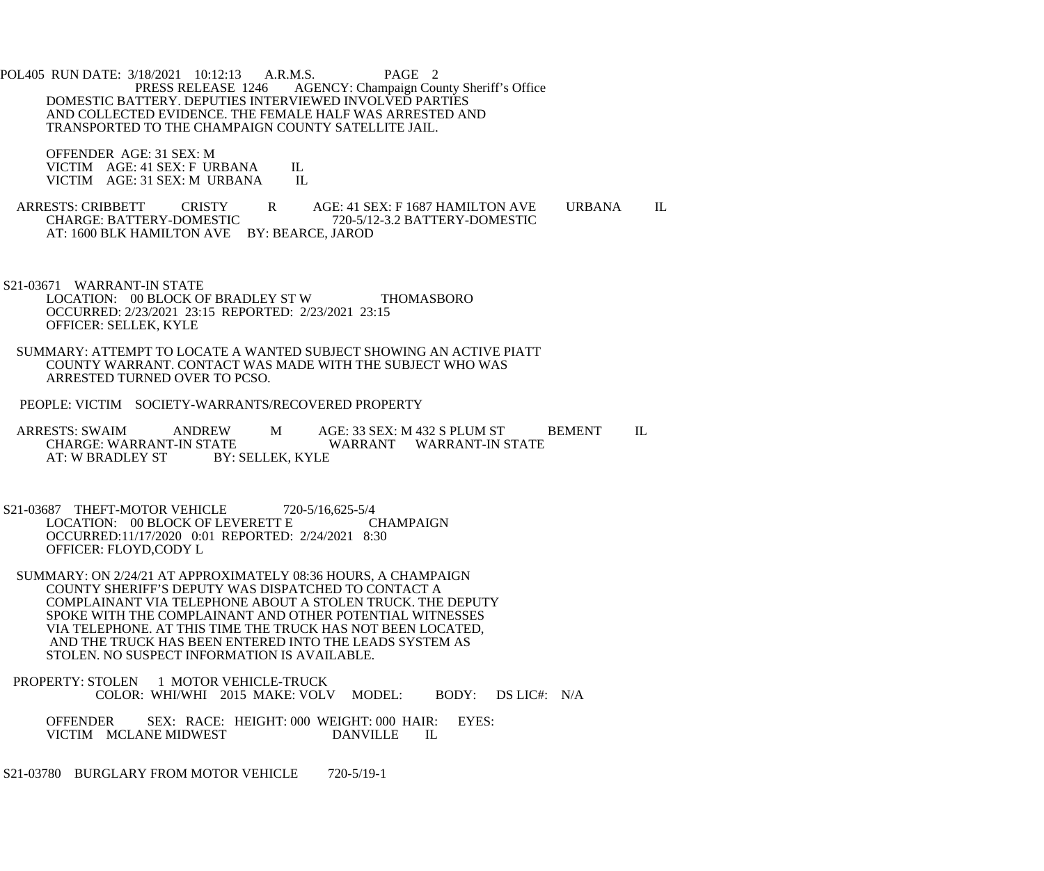POL405 RUN DATE: 3/18/2021 10:12:13 A.R.M.S. PAGE 2<br>PRESS RELEASE 1246 AGENCY: Champaign Cou AGENCY: Champaign County Sheriff's Office DOMESTIC BATTERY. DEPUTIES INTERVIEWED INVOLVED PARTIES AND COLLECTED EVIDENCE. THE FEMALE HALF WAS ARRESTED AND TRANSPORTED TO THE CHAMPAIGN COUNTY SATELLITE JAIL.

 OFFENDER AGE: 31 SEX: M VICTIM AGE: 41 SEX: F URBANA IL<br>VICTIM AGE: 31 SEX: M URBANA IL VICTIM AGE: 31 SEX: M URBANA

ARRESTS: CRIBBETT CRISTY R AGE: 41 SEX: F 1687 HAMILTON AVE URBANA IL CHARGE: BATTERY-DOMESTIC 720-5/12-3.2 BATTERY-DOMESTIC CHARGE: BATTERY-DOMESTIC 720-5/12-3.2 BATTERY-DOMESTIC AT: 1600 BLK HAMILTON AVE BY: BEARCE, JAROD

 S21-03671 WARRANT-IN STATE LOCATION: 00 BLOCK OF BRADLEY ST W THOMASBORO OCCURRED: 2/23/2021 23:15 REPORTED: 2/23/2021 23:15 OFFICER: SELLEK, KYLE

 SUMMARY: ATTEMPT TO LOCATE A WANTED SUBJECT SHOWING AN ACTIVE PIATT COUNTY WARRANT. CONTACT WAS MADE WITH THE SUBJECT WHO WAS ARRESTED TURNED OVER TO PCSO.

PEOPLE: VICTIM SOCIETY-WARRANTS/RECOVERED PROPERTY

ARRESTS: SWAIM ANDREW M AGE: 33 SEX: M 432 S PLUM ST BEMENT IL CHARGE: WARRANT-IN STATE ATE WARRANT WARRANT-IN STATE<br>BY: SELLEK, KYLE AT: W BRADLEY ST

S21-03687 THEFT-MOTOR VEHICLE 720-5/16,625-5/4<br>LOCATION: 00 BLOCK OF LEVERETT E CHAMPAIGN LOCATION: 00 BLOCK OF LEVERETT E OCCURRED:11/17/2020 0:01 REPORTED: 2/24/2021 8:30 OFFICER: FLOYD,CODY L

- SUMMARY: ON 2/24/21 AT APPROXIMATELY 08:36 HOURS, A CHAMPAIGN COUNTY SHERIFF'S DEPUTY WAS DISPATCHED TO CONTACT A COMPLAINANT VIA TELEPHONE ABOUT A STOLEN TRUCK. THE DEPUTY SPOKE WITH THE COMPLAINANT AND OTHER POTENTIAL WITNESSES VIA TELEPHONE. AT THIS TIME THE TRUCK HAS NOT BEEN LOCATED, AND THE TRUCK HAS BEEN ENTERED INTO THE LEADS SYSTEM AS STOLEN. NO SUSPECT INFORMATION IS AVAILABLE.
- PROPERTY: STOLEN 1 MOTOR VEHICLE-TRUCK COLOR: WHI/WHI 2015 MAKE: VOLV MODEL: BODY: DS LIC#: N/A

 OFFENDER SEX: RACE: HEIGHT: 000 WEIGHT: 000 HAIR: EYES: VICTIM MCLANE MIDWEST DANVILLE IL

S21-03780 BURGLARY FROM MOTOR VEHICLE 720-5/19-1